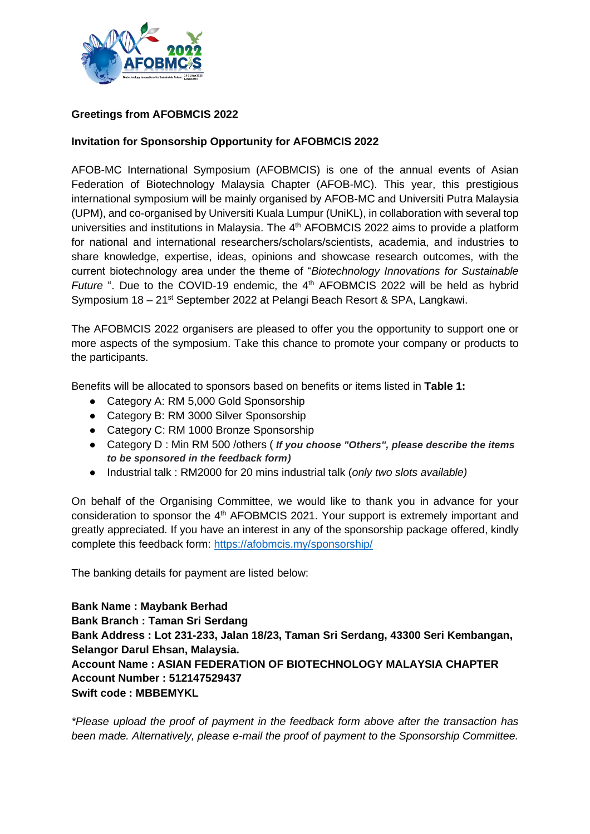

## **Greetings from AFOBMCIS 2022**

## **Invitation for Sponsorship Opportunity for AFOBMCIS 2022**

AFOB-MC International Symposium (AFOBMCIS) is one of the annual events of Asian Federation of Biotechnology Malaysia Chapter (AFOB-MC). This year, this prestigious international symposium will be mainly organised by AFOB-MC and Universiti Putra Malaysia (UPM), and co-organised by Universiti Kuala Lumpur (UniKL), in collaboration with several top universities and institutions in Malaysia. The 4<sup>th</sup> AFOBMCIS 2022 aims to provide a platform for national and international researchers/scholars/scientists, academia, and industries to share knowledge, expertise, ideas, opinions and showcase research outcomes, with the current biotechnology area under the theme of "*Biotechnology Innovations for Sustainable*  Future ". Due to the COVID-19 endemic, the 4<sup>th</sup> AFOBMCIS 2022 will be held as hybrid Symposium 18 - 21<sup>st</sup> September 2022 at Pelangi Beach Resort & SPA, Langkawi.

The AFOBMCIS 2022 organisers are pleased to offer you the opportunity to support one or more aspects of the symposium. Take this chance to promote your company or products to the participants.

Benefits will be allocated to sponsors based on benefits or items listed in **Table 1:**

- Category A: RM 5,000 Gold Sponsorship
- Category B: RM 3000 Silver Sponsorship
- Category C: RM 1000 Bronze Sponsorship
- Category D : Min RM 500 /others ( *If you choose "Others", please describe the items to be sponsored in the feedback form)*
- Industrial talk : RM2000 for 20 mins industrial talk (*only two slots available)*

On behalf of the Organising Committee, we would like to thank you in advance for your consideration to sponsor the 4<sup>th</sup> AFOBMCIS 2021. Your support is extremely important and greatly appreciated. If you have an interest in any of the sponsorship package offered, kindly complete this feedback form: <https://afobmcis.my/sponsorship/>

The banking details for payment are listed below:

**Bank Name : Maybank Berhad Bank Branch : Taman Sri Serdang Bank Address : Lot 231-233, Jalan 18/23, Taman Sri Serdang, 43300 Seri Kembangan, Selangor Darul Ehsan, Malaysia. Account Name : ASIAN FEDERATION OF BIOTECHNOLOGY MALAYSIA CHAPTER Account Number : 512147529437 Swift code : MBBEMYKL** 

*\*Please upload the proof of payment in the feedback form above after the transaction has been made. Alternatively, please e-mail the proof of payment to the Sponsorship Committee.*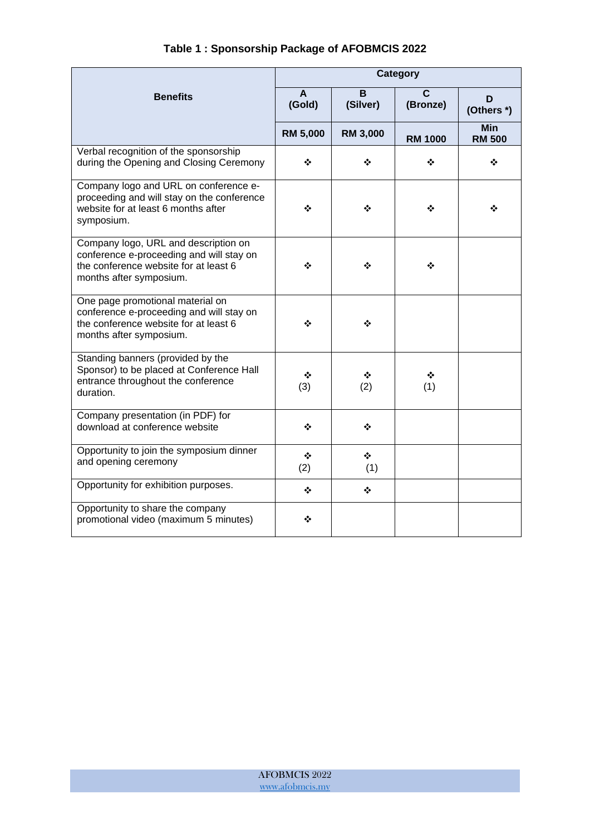|                                                                                                                                                      | Category                   |                      |                |                             |
|------------------------------------------------------------------------------------------------------------------------------------------------------|----------------------------|----------------------|----------------|-----------------------------|
| <b>Benefits</b>                                                                                                                                      | $\boldsymbol{A}$<br>(Gold) | B<br>(Silver)        | C<br>(Bronze)  | D<br>(Others *)             |
|                                                                                                                                                      | <b>RM 5,000</b>            | <b>RM 3,000</b>      | <b>RM 1000</b> | <b>Min</b><br><b>RM 500</b> |
| Verbal recognition of the sponsorship<br>during the Opening and Closing Ceremony                                                                     | ❖                          | ❖                    | ❖              | ❖                           |
| Company logo and URL on conference e-<br>proceeding and will stay on the conference<br>website for at least 6 months after<br>symposium.             | ❖                          | ❖                    | ❖              | ❖                           |
| Company logo, URL and description on<br>conference e-proceeding and will stay on<br>the conference website for at least 6<br>months after symposium. | ❖                          | ❖                    | ❖              |                             |
| One page promotional material on<br>conference e-proceeding and will stay on<br>the conference website for at least 6<br>months after symposium.     | ❖                          | ❖                    |                |                             |
| Standing banners (provided by the<br>Sponsor) to be placed at Conference Hall<br>entrance throughout the conference<br>duration.                     | ❖<br>(3)                   | ❖<br>(2)             | ❖<br>(1)       |                             |
| Company presentation (in PDF) for<br>download at conference website                                                                                  | ❖                          | ❖                    |                |                             |
| Opportunity to join the symposium dinner<br>and opening ceremony                                                                                     | ❖<br>(2)                   | ❖<br>(1)             |                |                             |
| Opportunity for exhibition purposes.                                                                                                                 | ❖                          | $\ddot{\ddot{\psi}}$ |                |                             |
| Opportunity to share the company<br>promotional video (maximum 5 minutes)                                                                            | ❖                          |                      |                |                             |

## **Table 1 : Sponsorship Package of AFOBMCIS 2022**

AFOBMCIS 2022 [www.afobmcis.my](http://www.afobmcis.my/)